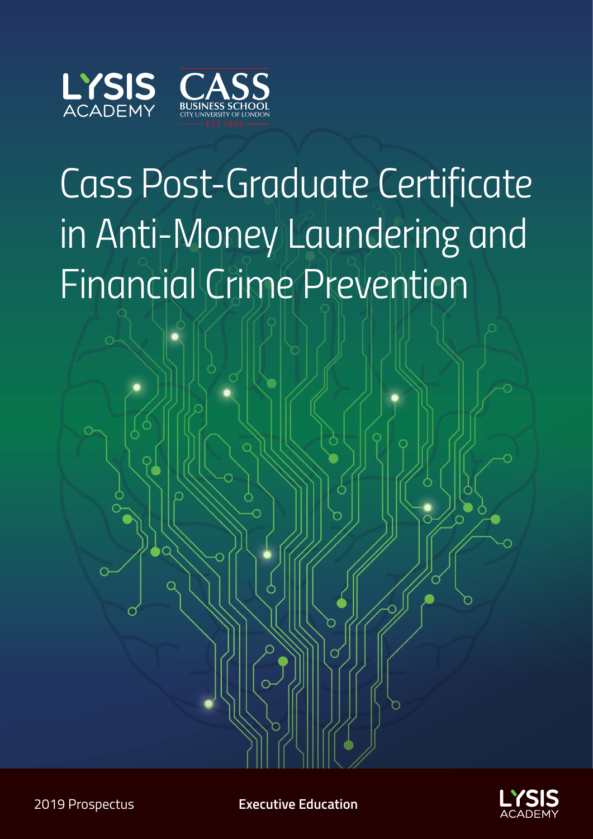

# *Cass Post-Graduate Certificate in Anti-Money Laundering and Financial Crime Prevention*



2019 Prospectus **Executive Education**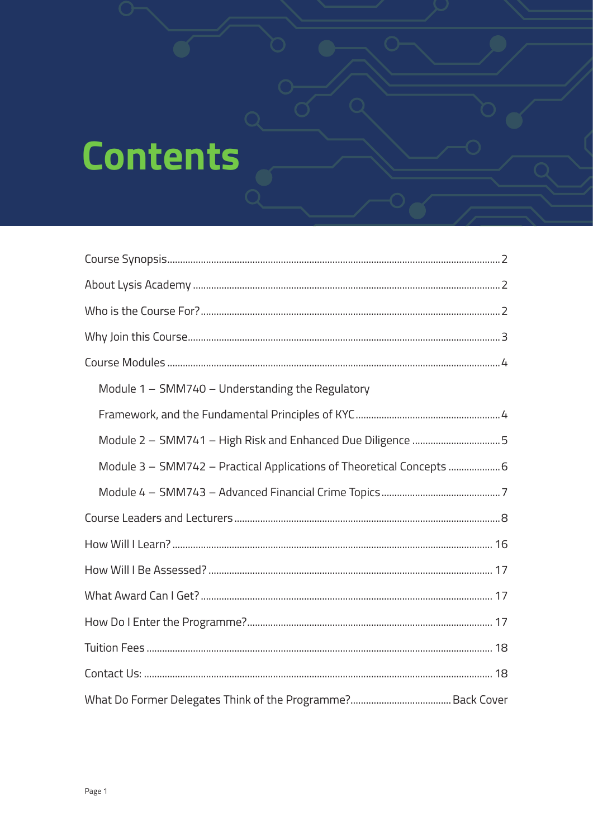# **Contents**

| Module 1 - SMM740 - Understanding the Regulatory                      |
|-----------------------------------------------------------------------|
|                                                                       |
| Module 2 - SMM741 - High Risk and Enhanced Due Diligence 5            |
| Module 3 - SMM742 - Practical Applications of Theoretical Concepts  6 |
|                                                                       |
|                                                                       |
|                                                                       |
|                                                                       |
|                                                                       |
|                                                                       |
|                                                                       |
|                                                                       |
|                                                                       |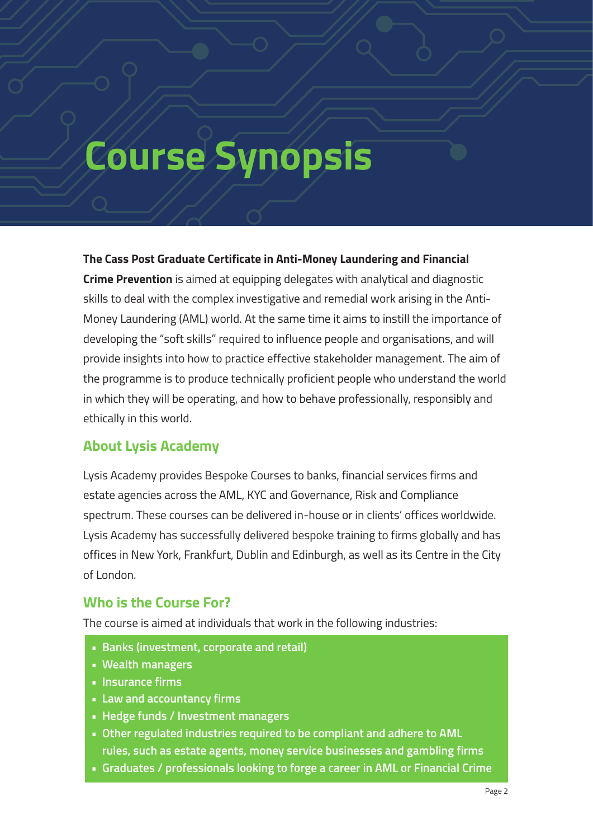## **Course Synopsis**

#### **The Cass Post Graduate Certificate in Anti-Money Laundering and Financial**

**Crime Prevention** is aimed at equipping delegates with analytical and diagnostic skills to deal with the complex investigative and remedial work arising in the Anti-Money Laundering (AML) world. At the same time it aims to instill the importance of developing the "soft skills" required to influence people and organisations, and will provide insights into how to practice effective stakeholder management. The aim of the programme is to produce technically proficient people who understand the world in which they will be operating, and how to behave professionally, responsibly and ethically in this world.

#### **About Lysis Academy**

Lysis Academy provides Bespoke Courses to banks, financial services firms and estate agencies across the AML, KYC and Governance, Risk and Compliance spectrum. These courses can be delivered in-house or in clients' offices worldwide. Lysis Academy has successfully delivered bespoke training to firms globally and has offices in New York, Frankfurt, Dublin and Edinburgh, as well as its Centre in the City of London.

#### **Who is the Course For?**

The course is aimed at individuals that work in the following industries:

- **• Banks (investment, corporate and retail)**
- **• Wealth managers**
- **• Insurance firms**
- **• Law and accountancy firms**
- **• Hedge funds / Investment managers**
- **• Other regulated industries required to be compliant and adhere to AML rules, such as estate agents, money service businesses and gambling firms**
- **• Graduates / professionals looking to forge a career in AML or Financial Crime**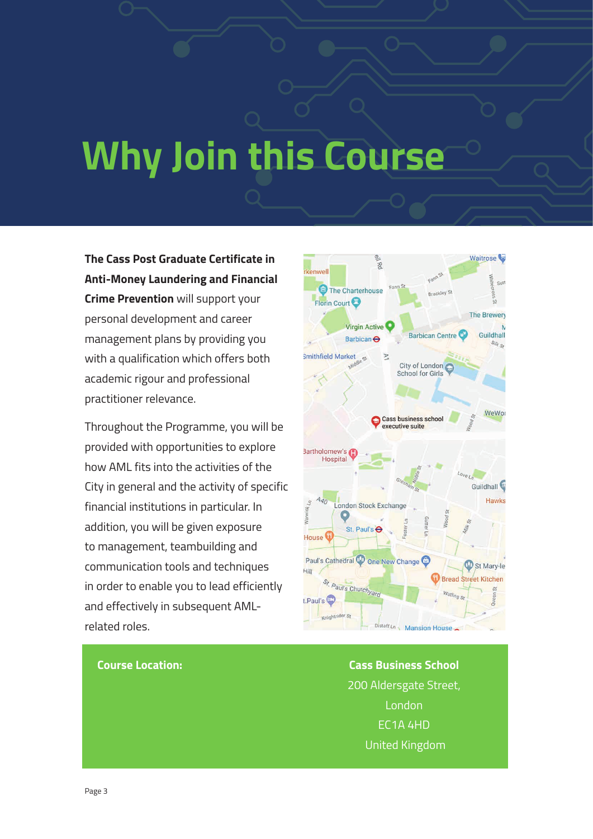# **Why Join this Course**

**The Cass Post Graduate Certificate in Anti-Money Laundering and Financial Crime Prevention** will support your personal development and career management plans by providing you with a qualification which offers both academic rigour and professional practitioner relevance.

Throughout the Programme, you will be provided with opportunities to explore how AML fits into the activities of the City in general and the activity of specific financial institutions in particular. In addition, you will be given exposure to management, teambuilding and communication tools and techniques in order to enable you to lead efficiently and effectively in subsequent AMLrelated roles.



#### **Course Location: Cass Business School**

200 Aldersgate Street, London EC1A 4HD United Kingdom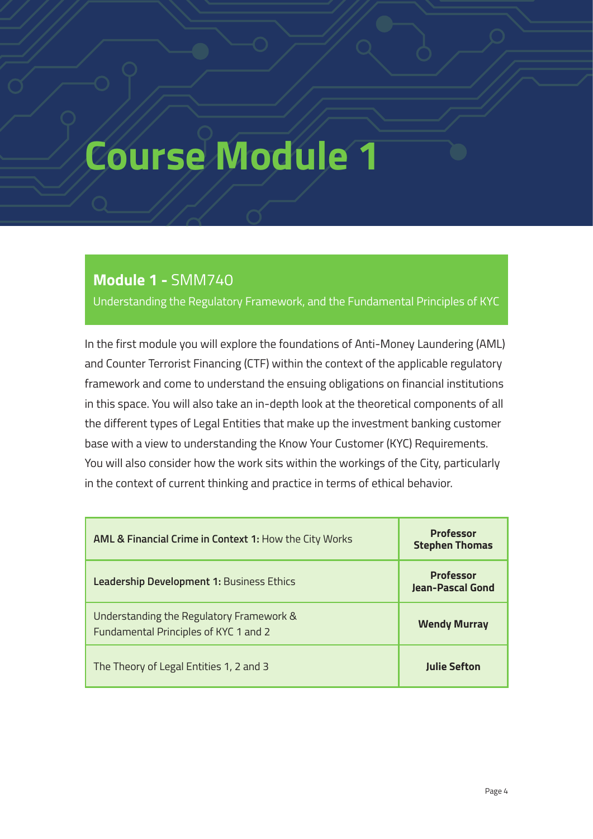#### **Module 1 -** SMM740

Understanding the Regulatory Framework, and the Fundamental Principles of KYC

In the first module you will explore the foundations of Anti-Money Laundering (AML) and Counter Terrorist Financing (CTF) within the context of the applicable regulatory framework and come to understand the ensuing obligations on financial institutions in this space. You will also take an in-depth look at the theoretical components of all the different types of Legal Entities that make up the investment banking customer base with a view to understanding the Know Your Customer (KYC) Requirements. You will also consider how the work sits within the workings of the City, particularly in the context of current thinking and practice in terms of ethical behavior.

| <b>AML &amp; Financial Crime in Context 1: How the City Works</b>                 | <b>Professor</b><br><b>Stephen Thomas</b>   |
|-----------------------------------------------------------------------------------|---------------------------------------------|
| Leadership Development 1: Business Ethics                                         | <b>Professor</b><br><b>Jean-Pascal Gond</b> |
| Understanding the Regulatory Framework &<br>Fundamental Principles of KYC 1 and 2 | <b>Wendy Murray</b>                         |
| The Theory of Legal Entities 1, 2 and 3                                           | <b>Julie Sefton</b>                         |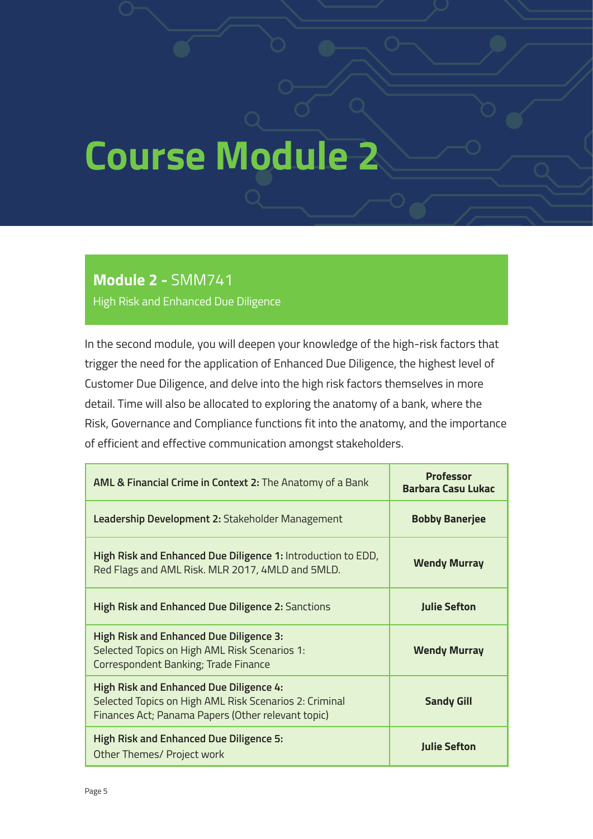#### **Module 2 -** SMM741

High Risk and Enhanced Due Diligence

In the second module, you will deepen your knowledge of the high-risk factors that trigger the need for the application of Enhanced Due Diligence, the highest level of Customer Due Diligence, and delve into the high risk factors themselves in more detail. Time will also be allocated to exploring the anatomy of a bank, where the Risk, Governance and Compliance functions fit into the anatomy, and the importance of efficient and effective communication amongst stakeholders.

| AML & Financial Crime in Context 2: The Anatomy of a Bank                                                                                                      | <b>Professor</b><br><b>Barbara Casu Lukac</b> |
|----------------------------------------------------------------------------------------------------------------------------------------------------------------|-----------------------------------------------|
| Leadership Development 2: Stakeholder Management                                                                                                               | <b>Bobby Banerjee</b>                         |
| High Risk and Enhanced Due Diligence 1: Introduction to EDD,<br>Red Flags and AML Risk. MLR 2017, 4MLD and 5MLD.                                               | <b>Wendy Murray</b>                           |
| High Risk and Enhanced Due Diligence 2: Sanctions                                                                                                              | <b>Julie Sefton</b>                           |
| <b>High Risk and Enhanced Due Diligence 3:</b><br>Selected Topics on High AML Risk Scenarios 1:<br>Correspondent Banking; Trade Finance                        | <b>Wendy Murray</b>                           |
| <b>High Risk and Enhanced Due Diligence 4:</b><br>Selected Topics on High AML Risk Scenarios 2: Criminal<br>Finances Act; Panama Papers (Other relevant topic) | <b>Sandy Gill</b>                             |
| <b>High Risk and Enhanced Due Diligence 5:</b><br>Other Themes/ Project work                                                                                   | <b>Julie Sefton</b>                           |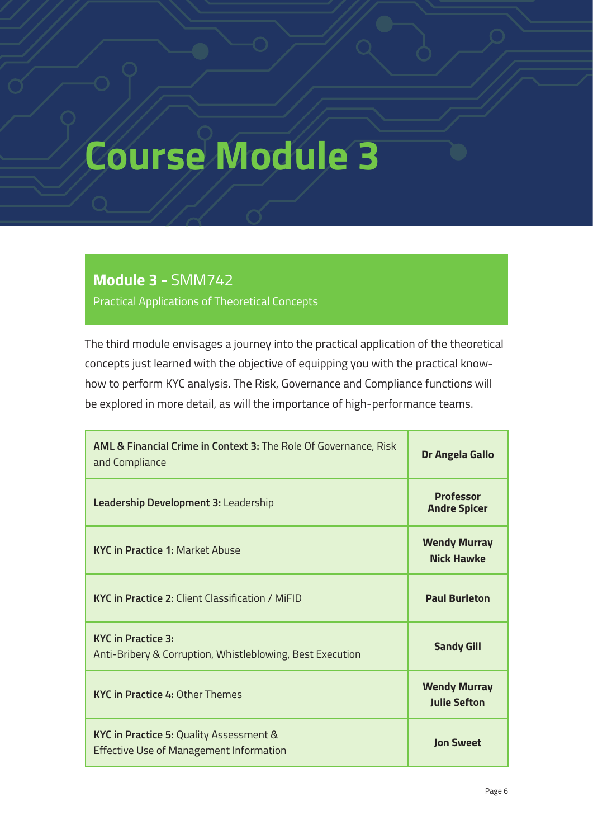#### **Module 3 -** SMM742

Practical Applications of Theoretical Concepts

The third module envisages a journey into the practical application of the theoretical concepts just learned with the objective of equipping you with the practical knowhow to perform KYC analysis. The Risk, Governance and Compliance functions will be explored in more detail, as will the importance of high-performance teams.

| AML & Financial Crime in Context 3: The Role Of Governance, Risk<br>and Compliance        | Dr Angela Gallo                            |
|-------------------------------------------------------------------------------------------|--------------------------------------------|
| Leadership Development 3: Leadership                                                      | <b>Professor</b><br><b>Andre Spicer</b>    |
| <b>KYC in Practice 1: Market Abuse</b>                                                    | <b>Wendy Murray</b><br><b>Nick Hawke</b>   |
| <b>KYC in Practice 2: Client Classification / MiFID</b>                                   | <b>Paul Burleton</b>                       |
| <b>KYC</b> in Practice 3:<br>Anti-Bribery & Corruption, Whistleblowing, Best Execution    | <b>Sandy Gill</b>                          |
| <b>KYC in Practice 4: Other Themes</b>                                                    | <b>Wendy Murray</b><br><b>Julie Sefton</b> |
| KYC in Practice 5: Quality Assessment &<br><b>Effective Use of Management Information</b> | <b>Ion Sweet</b>                           |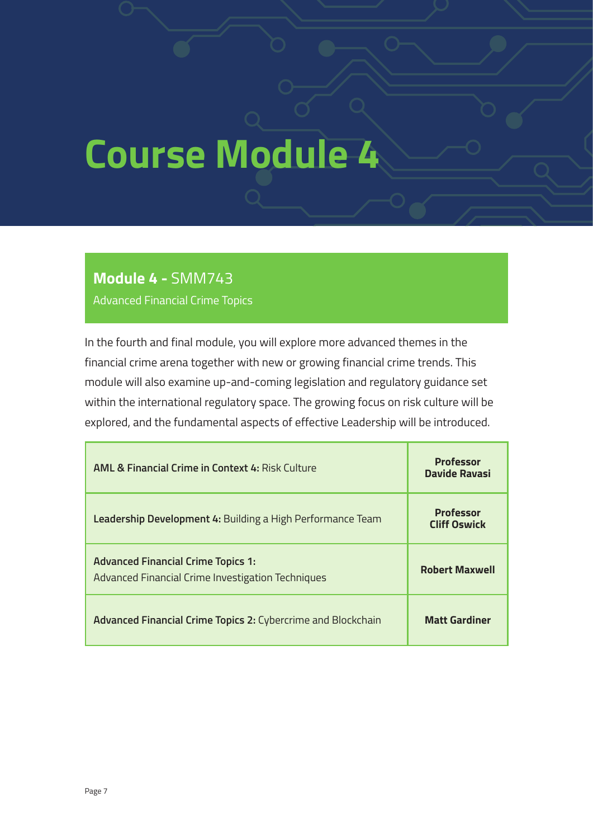#### **Module 4 -** SMM743

Advanced Financial Crime Topics

In the fourth and final module, you will explore more advanced themes in the financial crime arena together with new or growing financial crime trends. This module will also examine up-and-coming legislation and regulatory guidance set within the international regulatory space. The growing focus on risk culture will be explored, and the fundamental aspects of effective Leadership will be introduced.

| <b>AML &amp; Financial Crime in Context 4: Risk Culture</b>                                    | <b>Professor</b><br>Davide Ravasi       |
|------------------------------------------------------------------------------------------------|-----------------------------------------|
| Leadership Development 4: Building a High Performance Team                                     | <b>Professor</b><br><b>Cliff Oswick</b> |
| <b>Advanced Financial Crime Topics 1:</b><br>Advanced Financial Crime Investigation Techniques | <b>Robert Maxwell</b>                   |
| Advanced Financial Crime Topics 2: Cybercrime and Blockchain                                   | <b>Matt Gardiner</b>                    |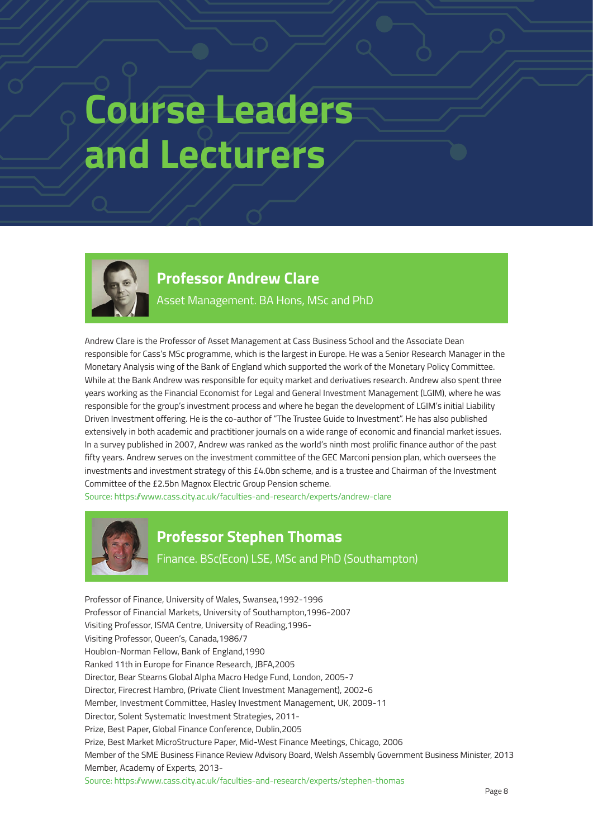## **Course Leaders and Lecturers**



### **Professor Andrew Clare**

Asset Management. BA Hons, MSc and PhD

Andrew Clare is the Professor of Asset Management at Cass Business School and the Associate Dean responsible for Cass's MSc programme, which is the largest in Europe. He was a Senior Research Manager in the Monetary Analysis wing of the Bank of England which supported the work of the Monetary Policy Committee. While at the Bank Andrew was responsible for equity market and derivatives research. Andrew also spent three years working as the Financial Economist for Legal and General Investment Management (LGIM), where he was responsible for the group's investment process and where he began the development of LGIM's initial Liability Driven Investment offering. He is the co-author of "The Trustee Guide to Investment". He has also published extensively in both academic and practitioner journals on a wide range of economic and financial market issues. In a survey published in 2007, Andrew was ranked as the world's ninth most prolific finance author of the past fifty years. Andrew serves on the investment committee of the GEC Marconi pension plan, which oversees the investments and investment strategy of this £4.0bn scheme, and is a trustee and Chairman of the Investment Committee of the £2.5bn Magnox Electric Group Pension scheme.

Source: https://www.cass.city.ac.uk/faculties-and-research/experts/andrew-clare



#### **Professor Stephen Thomas**

Finance. BSc(Econ) LSE, MSc and PhD (Southampton)

Professor of Finance, University of Wales, Swansea,1992-1996 Professor of Financial Markets, University of Southampton,1996-2007 Visiting Professor, ISMA Centre, University of Reading,1996- Visiting Professor, Queen's, Canada,1986/7 Houblon-Norman Fellow, Bank of England,1990 Ranked 11th in Europe for Finance Research, JBFA,2005 Director, Bear Stearns Global Alpha Macro Hedge Fund, London, 2005-7 Director, Firecrest Hambro, (Private Client Investment Management), 2002-6 Member, Investment Committee, Hasley Investment Management, UK, 2009-11 Director, Solent Systematic Investment Strategies, 2011- Prize, Best Paper, Global Finance Conference, Dublin,2005 Prize, Best Market MicroStructure Paper, Mid-West Finance Meetings, Chicago, 2006 Member of the SME Business Finance Review Advisory Board, Welsh Assembly Government Business Minister, 2013 Member, Academy of Experts, 2013- Source: https://www.cass.city.ac.uk/faculties-and-research/experts/stephen-thomas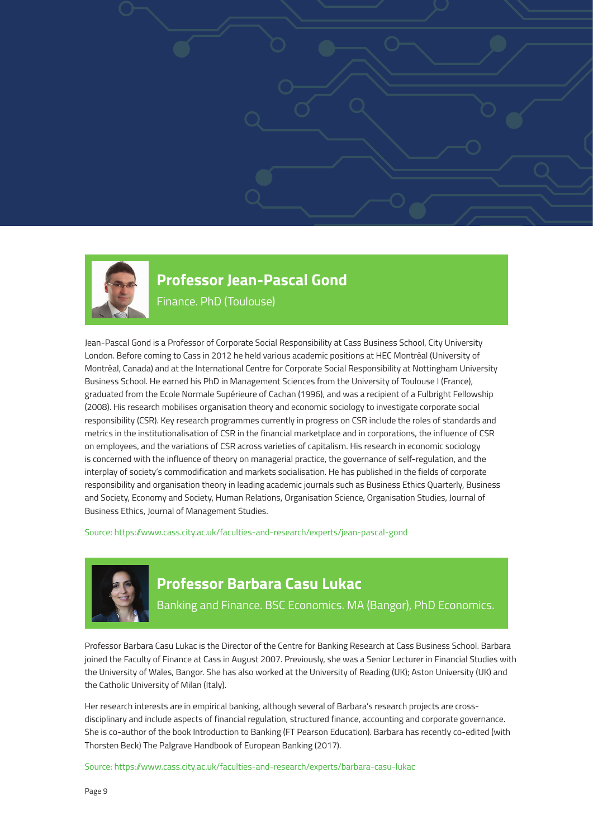

### **Professor Jean-Pascal Gond**

Finance. PhD (Toulouse)

Jean-Pascal Gond is a Professor of Corporate Social Responsibility at Cass Business School, City University London. Before coming to Cass in 2012 he held various academic positions at HEC Montréal (University of Montréal, Canada) and at the International Centre for Corporate Social Responsibility at Nottingham University Business School. He earned his PhD in Management Sciences from the University of Toulouse I (France), graduated from the Ecole Normale Supérieure of Cachan (1996), and was a recipient of a Fulbright Fellowship (2008). His research mobilises organisation theory and economic sociology to investigate corporate social responsibility (CSR). Key research programmes currently in progress on CSR include the roles of standards and metrics in the institutionalisation of CSR in the financial marketplace and in corporations, the influence of CSR on employees, and the variations of CSR across varieties of capitalism. His research in economic sociology is concerned with the influence of theory on managerial practice, the governance of self-regulation, and the interplay of society's commodification and markets socialisation. He has published in the fields of corporate responsibility and organisation theory in leading academic journals such as Business Ethics Quarterly, Business and Society, Economy and Society, Human Relations, Organisation Science, Organisation Studies, Journal of Business Ethics, Journal of Management Studies.

Source: https://www.cass.city.ac.uk/faculties-and-research/experts/jean-pascal-gond



#### **Professor Barbara Casu Lukac**

Banking and Finance. BSC Economics. MA (Bangor), PhD Economics.

Professor Barbara Casu Lukac is the Director of the Centre for Banking Research at Cass Business School. Barbara joined the Faculty of Finance at Cass in August 2007. Previously, she was a Senior Lecturer in Financial Studies with the University of Wales, Bangor. She has also worked at the University of Reading (UK); Aston University (UK) and the Catholic University of Milan (Italy).

Her research interests are in empirical banking, although several of Barbara's research projects are crossdisciplinary and include aspects of financial regulation, structured finance, accounting and corporate governance. She is co-author of the book Introduction to Banking (FT Pearson Education). Barbara has recently co-edited (with Thorsten Beck) The Palgrave Handbook of European Banking (2017).

Source: https://www.cass.city.ac.uk/faculties-and-research/experts/barbara-casu-lukac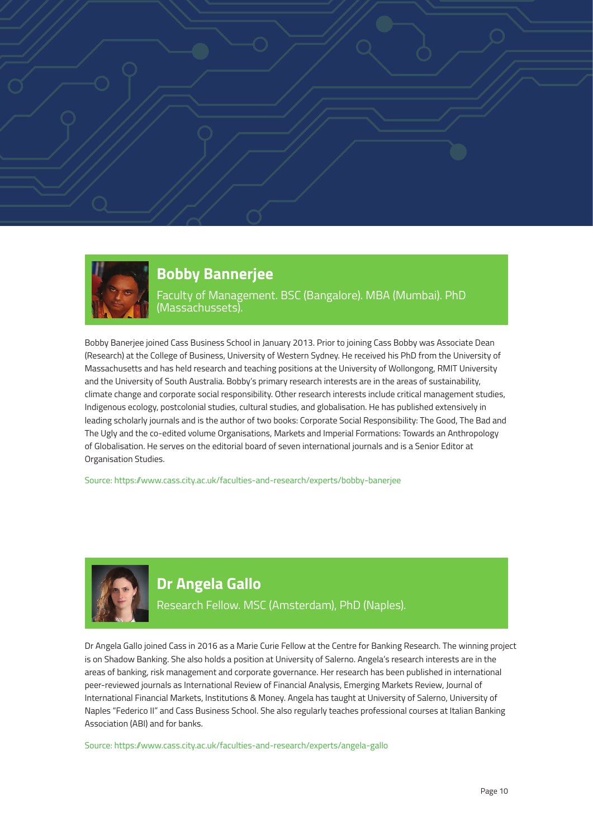



### **Bobby Bannerjee**

Faculty of Management. BSC (Bangalore). MBA (Mumbai). PhD (Massachussets).

Bobby Banerjee joined Cass Business School in January 2013. Prior to joining Cass Bobby was Associate Dean (Research) at the College of Business, University of Western Sydney. He received his PhD from the University of Massachusetts and has held research and teaching positions at the University of Wollongong, RMIT University and the University of South Australia. Bobby's primary research interests are in the areas of sustainability, climate change and corporate social responsibility. Other research interests include critical management studies, Indigenous ecology, postcolonial studies, cultural studies, and globalisation. He has published extensively in leading scholarly journals and is the author of two books: Corporate Social Responsibility: The Good, The Bad and The Ugly and the co-edited volume Organisations, Markets and Imperial Formations: Towards an Anthropology of Globalisation. He serves on the editorial board of seven international journals and is a Senior Editor at Organisation Studies.

Source: https://www.cass.city.ac.uk/faculties-and-research/experts/bobby-banerjee



#### **Dr Angela Gallo**

Research Fellow. MSC (Amsterdam), PhD (Naples).

Dr Angela Gallo joined Cass in 2016 as a Marie Curie Fellow at the Centre for Banking Research. The winning project is on Shadow Banking. She also holds a position at University of Salerno. Angela's research interests are in the areas of banking, risk management and corporate governance. Her research has been published in international peer-reviewed journals as International Review of Financial Analysis, Emerging Markets Review, Journal of International Financial Markets, Institutions & Money. Angela has taught at University of Salerno, University of Naples "Federico II" and Cass Business School. She also regularly teaches professional courses at Italian Banking Association (ABI) and for banks.

Source: https://www.cass.city.ac.uk/faculties-and-research/experts/angela-gallo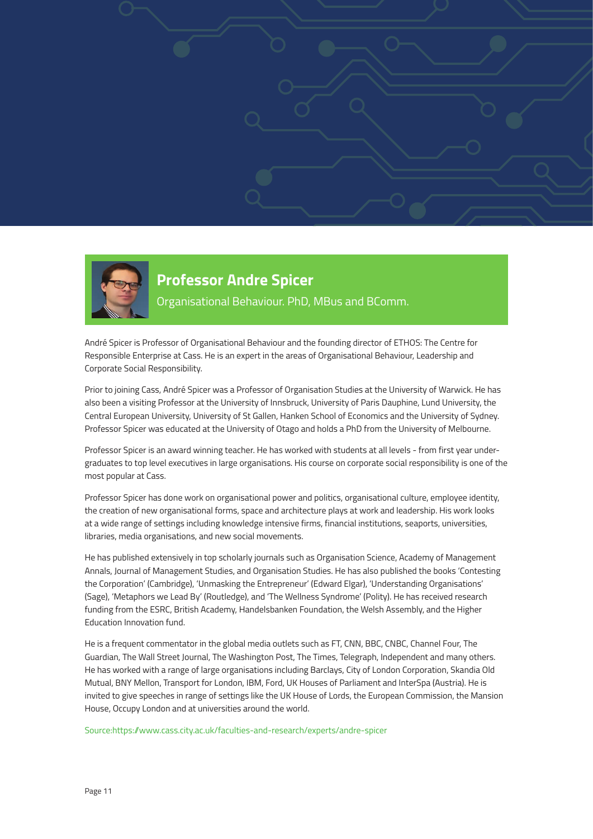



#### **Professor Andre Spicer** Organisational Behaviour. PhD, MBus and BComm.

André Spicer is Professor of Organisational Behaviour and the founding director of ETHOS: The Centre for Responsible Enterprise at Cass. He is an expert in the areas of Organisational Behaviour, Leadership and Corporate Social Responsibility.

Prior to joining Cass, André Spicer was a Professor of Organisation Studies at the University of Warwick. He has also been a visiting Professor at the University of Innsbruck, University of Paris Dauphine, Lund University, the Central European University, University of St Gallen, Hanken School of Economics and the University of Sydney. Professor Spicer was educated at the University of Otago and holds a PhD from the University of Melbourne.

Professor Spicer is an award winning teacher. He has worked with students at all levels - from first year undergraduates to top level executives in large organisations. His course on corporate social responsibility is one of the most popular at Cass.

Professor Spicer has done work on organisational power and politics, organisational culture, employee identity, the creation of new organisational forms, space and architecture plays at work and leadership. His work looks at a wide range of settings including knowledge intensive firms, financial institutions, seaports, universities, libraries, media organisations, and new social movements.

He has published extensively in top scholarly journals such as Organisation Science, Academy of Management Annals, Journal of Management Studies, and Organisation Studies. He has also published the books 'Contesting the Corporation' (Cambridge), 'Unmasking the Entrepreneur' (Edward Elgar), 'Understanding Organisations' (Sage), 'Metaphors we Lead By' (Routledge), and 'The Wellness Syndrome' (Polity). He has received research funding from the ESRC, British Academy, Handelsbanken Foundation, the Welsh Assembly, and the Higher Education Innovation fund.

He is a frequent commentator in the global media outlets such as FT, CNN, BBC, CNBC, Channel Four, The Guardian, The Wall Street Journal, The Washington Post, The Times, Telegraph, Independent and many others. He has worked with a range of large organisations including Barclays, City of London Corporation, Skandia Old Mutual, BNY Mellon, Transport for London, IBM, Ford, UK Houses of Parliament and InterSpa (Austria). He is invited to give speeches in range of settings like the UK House of Lords, the European Commission, the Mansion House, Occupy London and at universities around the world.

Source:https://www.cass.city.ac.uk/faculties-and-research/experts/andre-spicer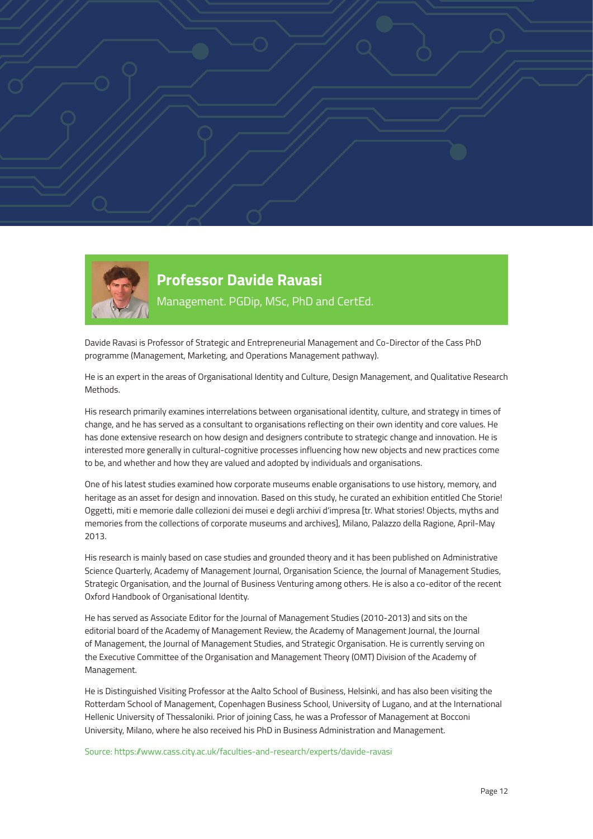



#### **Professor Davide Ravasi** Management. PGDip, MSc, PhD and CertEd.

Davide Ravasi is Professor of Strategic and Entrepreneurial Management and Co-Director of the Cass PhD programme (Management, Marketing, and Operations Management pathway).

He is an expert in the areas of Organisational Identity and Culture, Design Management, and Qualitative Research Methods.

His research primarily examines interrelations between organisational identity, culture, and strategy in times of change, and he has served as a consultant to organisations reflecting on their own identity and core values. He has done extensive research on how design and designers contribute to strategic change and innovation. He is interested more generally in cultural-cognitive processes influencing how new objects and new practices come to be, and whether and how they are valued and adopted by individuals and organisations.

One of his latest studies examined how corporate museums enable organisations to use history, memory, and heritage as an asset for design and innovation. Based on this study, he curated an exhibition entitled Che Storie! Oggetti, miti e memorie dalle collezioni dei musei e degli archivi d'impresa [tr. What stories! Objects, myths and memories from the collections of corporate museums and archives], Milano, Palazzo della Ragione, April-May 2013.

His research is mainly based on case studies and grounded theory and it has been published on Administrative Science Quarterly, Academy of Management Journal, Organisation Science, the Journal of Management Studies, Strategic Organisation, and the Journal of Business Venturing among others. He is also a co-editor of the recent Oxford Handbook of Organisational Identity.

He has served as Associate Editor for the Journal of Management Studies (2010-2013) and sits on the editorial board of the Academy of Management Review, the Academy of Management Journal, the Journal of Management, the Journal of Management Studies, and Strategic Organisation. He is currently serving on the Executive Committee of the Organisation and Management Theory (OMT) Division of the Academy of Management.

He is Distinguished Visiting Professor at the Aalto School of Business, Helsinki, and has also been visiting the Rotterdam School of Management, Copenhagen Business School, University of Lugano, and at the International Hellenic University of Thessaloniki. Prior of joining Cass, he was a Professor of Management at Bocconi University, Milano, where he also received his PhD in Business Administration and Management.

Source: https://www.cass.city.ac.uk/faculties-and-research/experts/davide-ravasi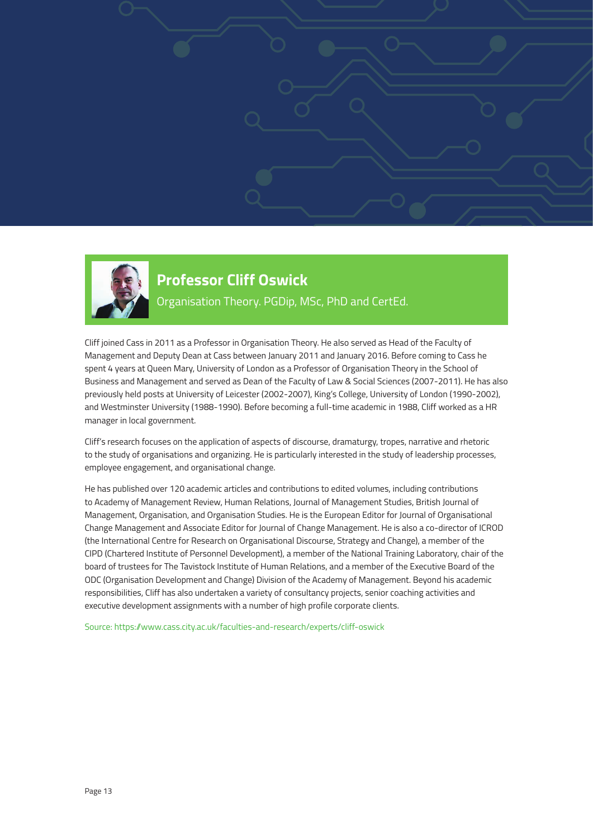

### **Professor Cliff Oswick** Organisation Theory. PGDip, MSc, PhD and CertEd.

Cliff joined Cass in 2011 as a Professor in Organisation Theory. He also served as Head of the Faculty of Management and Deputy Dean at Cass between January 2011 and January 2016. Before coming to Cass he spent 4 years at Queen Mary, University of London as a Professor of Organisation Theory in the School of Business and Management and served as Dean of the Faculty of Law & Social Sciences (2007-2011). He has also previously held posts at University of Leicester (2002-2007), King's College, University of London (1990-2002), and Westminster University (1988-1990). Before becoming a full-time academic in 1988, Cliff worked as a HR manager in local government.

Cliff's research focuses on the application of aspects of discourse, dramaturgy, tropes, narrative and rhetoric to the study of organisations and organizing. He is particularly interested in the study of leadership processes, employee engagement, and organisational change.

He has published over 120 academic articles and contributions to edited volumes, including contributions to Academy of Management Review, Human Relations, Journal of Management Studies, British Journal of Management, Organisation, and Organisation Studies. He is the European Editor for Journal of Organisational Change Management and Associate Editor for Journal of Change Management. He is also a co-director of ICROD (the International Centre for Research on Organisational Discourse, Strategy and Change), a member of the CIPD (Chartered Institute of Personnel Development), a member of the National Training Laboratory, chair of the board of trustees for The Tavistock Institute of Human Relations, and a member of the Executive Board of the ODC (Organisation Development and Change) Division of the Academy of Management. Beyond his academic responsibilities, Cliff has also undertaken a variety of consultancy projects, senior coaching activities and executive development assignments with a number of high profile corporate clients.

Source: https://www.cass.city.ac.uk/faculties-and-research/experts/cliff-oswick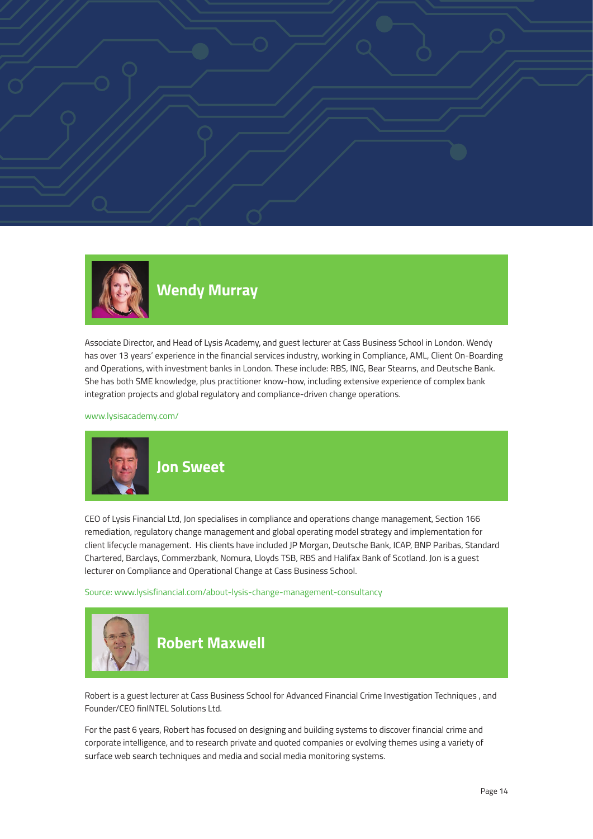



### **Wendy Murray**

Associate Director, and Head of Lysis Academy, and guest lecturer at Cass Business School in London. Wendy has over 13 years' experience in the financial services industry, working in Compliance, AML, Client On-Boarding and Operations, with investment banks in London. These include: RBS, ING, Bear Stearns, and Deutsche Bank. She has both SME knowledge, plus practitioner know-how, including extensive experience of complex bank integration projects and global regulatory and compliance-driven change operations.

www.lysisacademy.com/



CEO of Lysis Financial Ltd, Jon specialises in compliance and operations change management, Section 166 remediation, regulatory change management and global operating model strategy and implementation for client lifecycle management. His clients have included JP Morgan, Deutsche Bank, ICAP, BNP Paribas, Standard Chartered, Barclays, Commerzbank, Nomura, Lloyds TSB, RBS and Halifax Bank of Scotland. Jon is a guest lecturer on Compliance and Operational Change at Cass Business School.

Source: www.lysisfinancial.com/about-lysis-change-management-consultancy



Robert is a guest lecturer at Cass Business School for Advanced Financial Crime Investigation Techniques , and Founder/CEO finINTEL Solutions Ltd.

For the past 6 years, Robert has focused on designing and building systems to discover financial crime and corporate intelligence, and to research private and quoted companies or evolving themes using a variety of surface web search techniques and media and social media monitoring systems.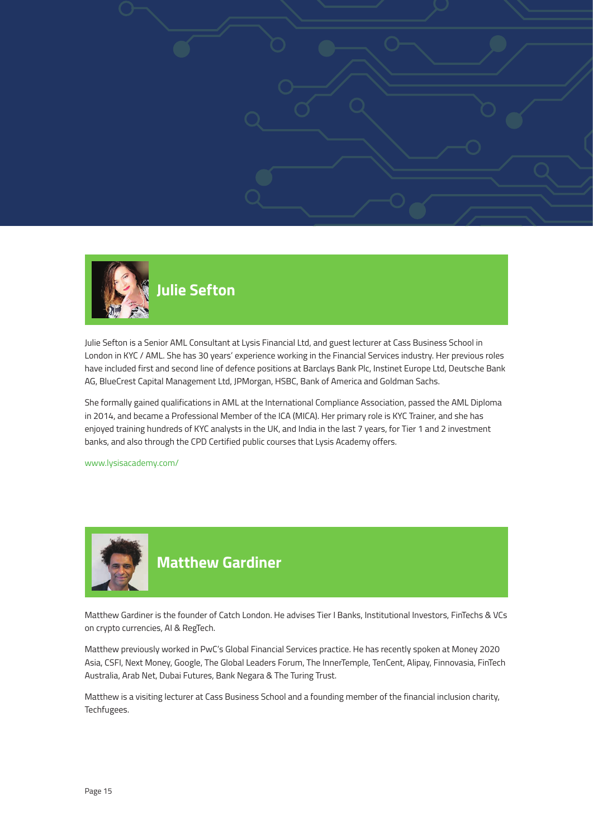



Julie Sefton is a Senior AML Consultant at Lysis Financial Ltd, and guest lecturer at Cass Business School in London in KYC / AML. She has 30 years' experience working in the Financial Services industry. Her previous roles have included first and second line of defence positions at Barclays Bank Plc, Instinet Europe Ltd, Deutsche Bank AG, BlueCrest Capital Management Ltd, JPMorgan, HSBC, Bank of America and Goldman Sachs.

She formally gained qualifications in AML at the International Compliance Association, passed the AML Diploma in 2014, and became a Professional Member of the ICA (MICA). Her primary role is KYC Trainer, and she has enjoyed training hundreds of KYC analysts in the UK, and India in the last 7 years, for Tier 1 and 2 investment banks, and also through the CPD Certified public courses that Lysis Academy offers.

www.lysisacademy.com/



#### **Matthew Gardiner**

Matthew Gardiner is the founder of Catch London. He advises Tier I Banks, Institutional Investors, FinTechs & VCs on crypto currencies, AI & RegTech.

Matthew previously worked in PwC's Global Financial Services practice. He has recently spoken at Money 2020 Asia, CSFI, Next Money, Google, The Global Leaders Forum, The InnerTemple, TenCent, Alipay, Finnovasia, FinTech Australia, Arab Net, Dubai Futures, Bank Negara & The Turing Trust.

Matthew is a visiting lecturer at Cass Business School and a founding member of the financial inclusion charity, Techfugees.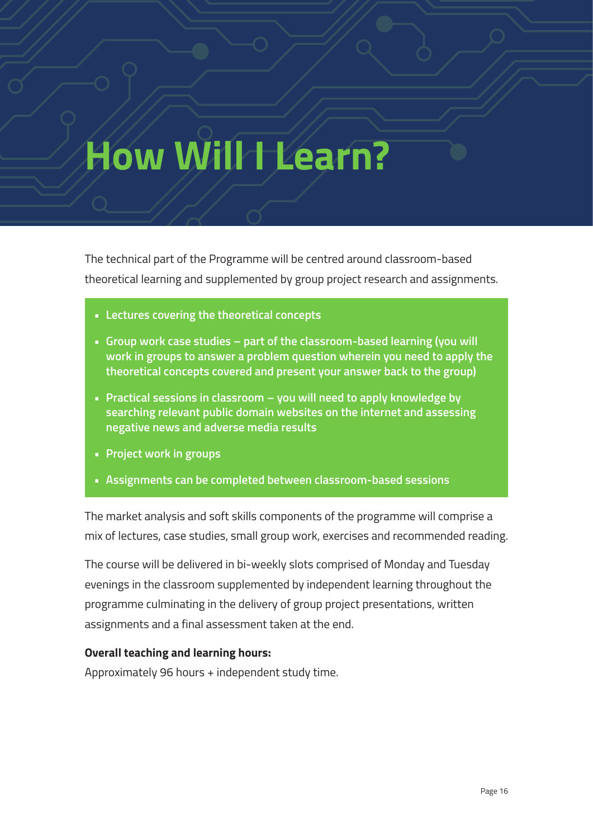## **How Will I Learn?**

The technical part of the Programme will be centred around classroom-based theoretical learning and supplemented by group project research and assignments.

- **• Lectures covering the theoretical concepts**
- **• Group work case studies part of the classroom-based learning (you will work in groups to answer a problem question wherein you need to apply the theoretical concepts covered and present your answer back to the group)**
- **• Practical sessions in classroom you will need to apply knowledge by searching relevant public domain websites on the internet and assessing negative news and adverse media results**
- **• Project work in groups**
- **• Assignments can be completed between classroom-based sessions**

The market analysis and soft skills components of the programme will comprise a mix of lectures, case studies, small group work, exercises and recommended reading.

The course will be delivered in bi-weekly slots comprised of Monday and Tuesday evenings in the classroom supplemented by independent learning throughout the programme culminating in the delivery of group project presentations, written assignments and a final assessment taken at the end.

#### **Overall teaching and learning hours:**

Approximately 96 hours + independent study time.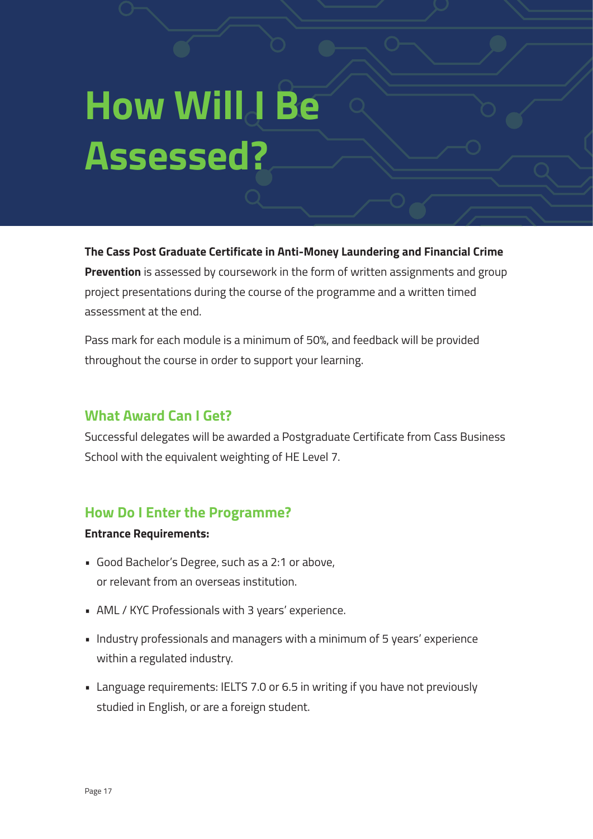# How Will **Be Assessed?**

**The Cass Post Graduate Certificate in Anti-Money Laundering and Financial Crime Prevention** is assessed by coursework in the form of written assignments and group project presentations during the course of the programme and a written timed assessment at the end.

Pass mark for each module is a minimum of 50%, and feedback will be provided throughout the course in order to support your learning.

#### **What Award Can I Get?**

Successful delegates will be awarded a Postgraduate Certificate from Cass Business School with the equivalent weighting of HE Level 7.

#### **How Do I Enter the Programme?**

#### **Entrance Requirements:**

- Good Bachelor's Degree, such as a 2:1 or above, or relevant from an overseas institution.
- AML / KYC Professionals with 3 years' experience.
- Industry professionals and managers with a minimum of 5 years' experience within a regulated industry.
- Language requirements: IELTS 7.0 or 6.5 in writing if you have not previously studied in English, or are a foreign student.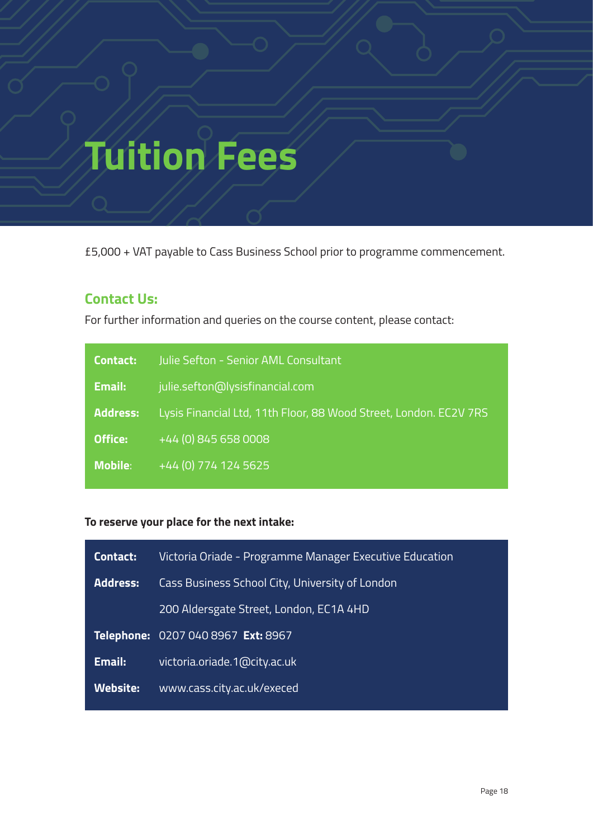# **Tuition Fees**

£5,000 + VAT payable to Cass Business School prior to programme commencement.

#### **Contact Us:**

For further information and queries on the course content, please contact:

| Contact:        | Julie Sefton - Senior AML Consultant                              |
|-----------------|-------------------------------------------------------------------|
| Email:          | julie.sefton@lysisfinancial.com                                   |
| <b>Address:</b> | Lysis Financial Ltd, 11th Floor, 88 Wood Street, London. EC2V 7RS |
| Office:         | +44 (0) 845 658 0008                                              |
| <b>Mobile:</b>  | +44 (0) 774 124 5625                                              |
|                 |                                                                   |

#### **To reserve your place for the next intake:**

| Contact:        | Victoria Oriade - Programme Manager Executive Education |
|-----------------|---------------------------------------------------------|
| <b>Address:</b> | Cass Business School City, University of London         |
|                 | 200 Aldersgate Street, London, EC1A 4HD                 |
|                 | Telephone: 0207 040 8967 Ext: 8967                      |
| Email:          | victoria.oriade.1@city.ac.uk                            |
| <b>Website:</b> | www.cass.city.ac.uk/execed                              |
|                 |                                                         |